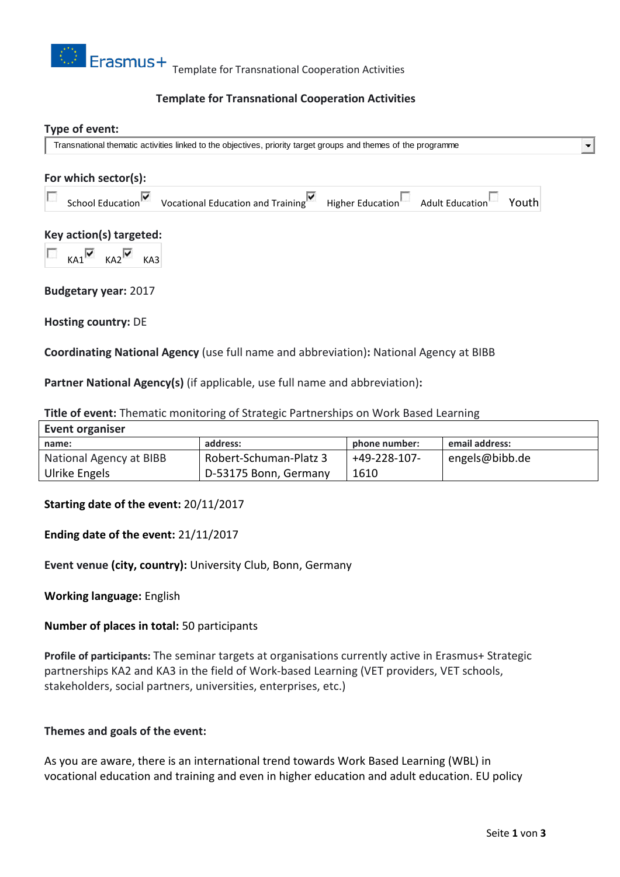

# **Template for Transnational Cooperation Activities**

#### **Type of event:**

Transnational thematic activities linked to the objectives, priority target groups and themes of the programme

# **For which sector(s):** School Education<sup> V</sup> Vocational Education and Training Higher Education Adult Education Youth **Key action(s) targeted:**  $KA1$   $KA2$   $KA3$ **Budgetary year:** 2017

**Hosting country:** DE

**Coordinating National Agency** (use full name and abbreviation)**:** National Agency at BIBB

**Partner National Agency(s)** (if applicable, use full name and abbreviation)**:**

| <b>THE OF EVENT:</b> THEMALC MONICONITY OF Strategic Partnerships on WORK Based Learning |                        |               |                |
|------------------------------------------------------------------------------------------|------------------------|---------------|----------------|
| <b>Event organiser</b>                                                                   |                        |               |                |
| name:                                                                                    | address:               | phone number: | email address: |
| National Agency at BIBB                                                                  | Robert-Schuman-Platz 3 | +49-228-107-  | engels@bibb.de |
| Ulrike Engels                                                                            | D-53175 Bonn, Germany  | 1610          |                |

**Title of event:** Thematic monitoring of Strategic Partnerships on Work Based Learning

# **Starting date of the event:** 20/11/2017

# **Ending date of the event:** 21/11/2017

**Event venue (city, country):** University Club, Bonn, Germany

**Working language:** English

**Number of places in total:** 50 participants

**Profile of participants:** The seminar targets at organisations currently active in Erasmus+ Strategic partnerships KA2 and KA3 in the field of Work-based Learning (VET providers, VET schools, stakeholders, social partners, universities, enterprises, etc.)

#### **Themes and goals of the event:**

As you are aware, there is an international trend towards Work Based Learning (WBL) in vocational education and training and even in higher education and adult education. EU policy  $\blacksquare$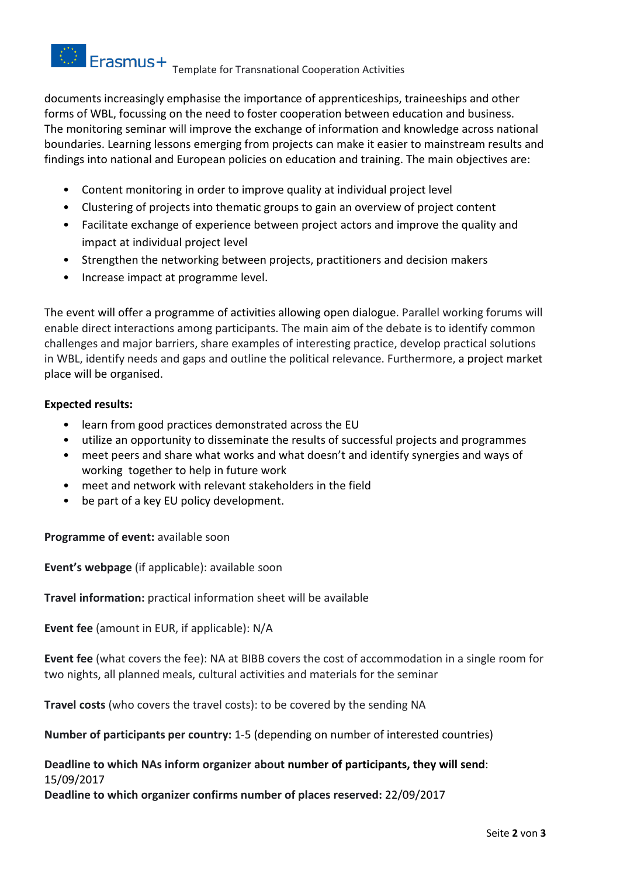

documents increasingly emphasise the importance of apprenticeships, traineeships and other forms of WBL, focussing on the need to foster cooperation between education and business. The monitoring seminar will improve the exchange of information and knowledge across national boundaries. Learning lessons emerging from projects can make it easier to mainstream results and findings into national and European policies on education and training. The main objectives are:

- Content monitoring in order to improve quality at individual project level
- Clustering of projects into thematic groups to gain an overview of project content
- Facilitate exchange of experience between project actors and improve the quality and impact at individual project level
- Strengthen the networking between projects, practitioners and decision makers
- Increase impact at programme level.

The event will offer a programme of activities allowing open dialogue. Parallel working forums will enable direct interactions among participants. The main aim of the debate is to identify common challenges and major barriers, share examples of interesting practice, develop practical solutions in WBL, identify needs and gaps and outline the political relevance. Furthermore, a project market place will be organised.

# **Expected results:**

- learn from good practices demonstrated across the EU
- utilize an opportunity to disseminate the results of successful projects and programmes
- meet peers and share what works and what doesn't and identify synergies and ways of working together to help in future work
- meet and network with relevant stakeholders in the field
- be part of a key EU policy development.

# **Programme of event:** available soon

**Event's webpage** (if applicable): available soon

**Travel information:** practical information sheet will be available

**Event fee** (amount in EUR, if applicable): N/A

**Event fee** (what covers the fee): NA at BIBB covers the cost of accommodation in a single room for two nights, all planned meals, cultural activities and materials for the seminar

**Travel costs** (who covers the travel costs): to be covered by the sending NA

**Number of participants per country:** 1-5 (depending on number of interested countries)

# **Deadline to which NAs inform organizer about number of participants, they will send**: 15/09/2017

**Deadline to which organizer confirms number of places reserved:** 22/09/2017